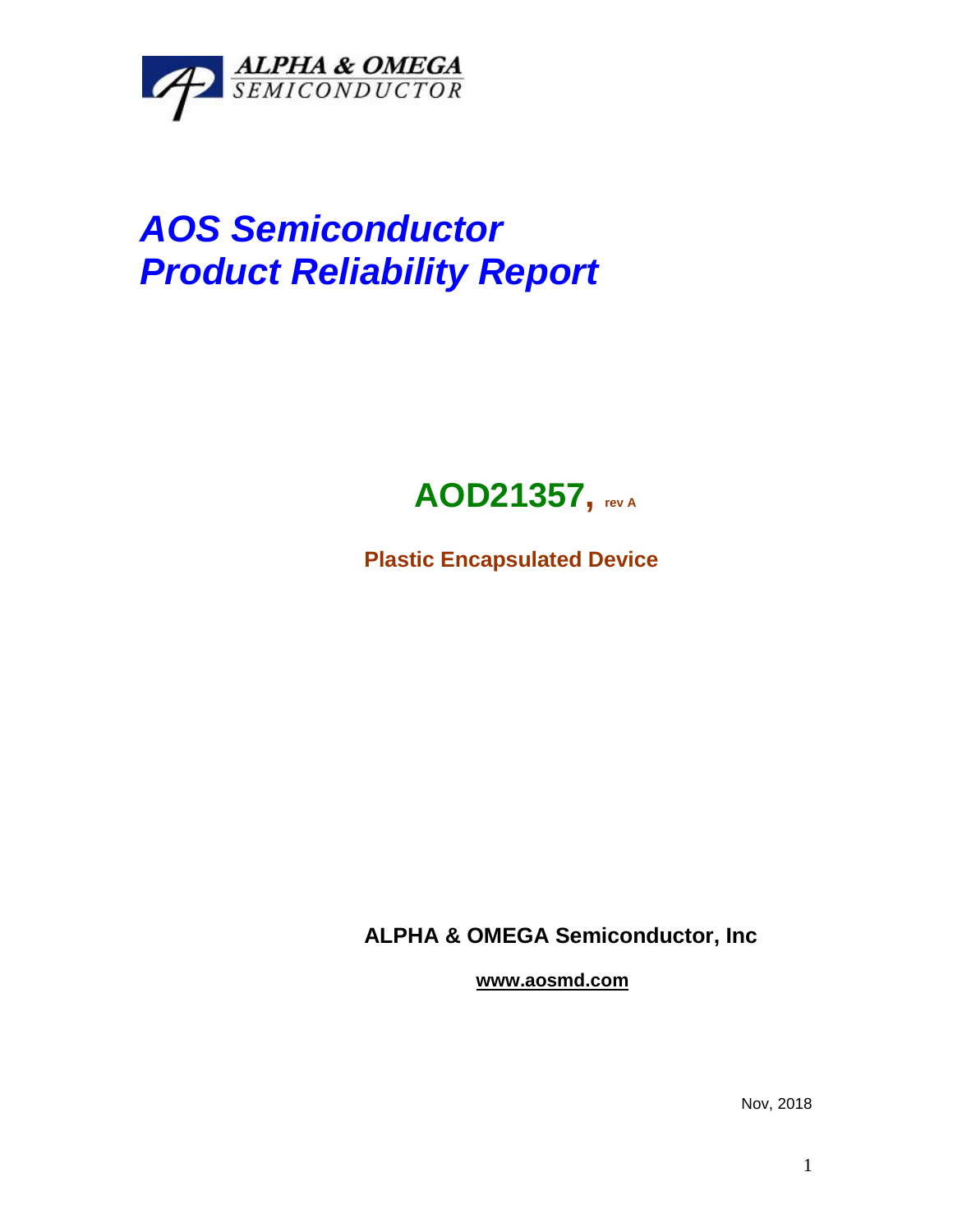

## *AOS Semiconductor Product Reliability Report*



**Plastic Encapsulated Device**

**ALPHA & OMEGA Semiconductor, Inc**

**www.aosmd.com**

Nov, 2018